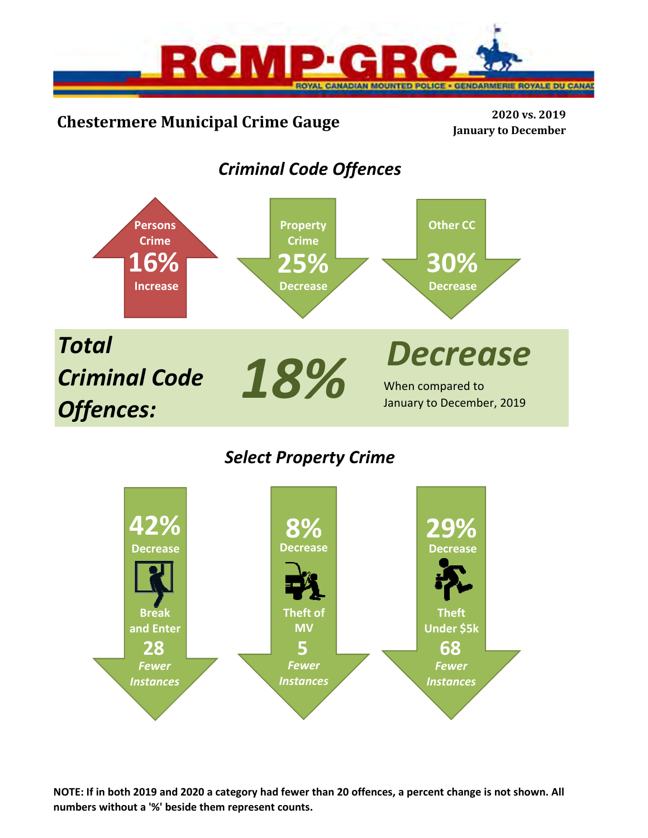

# **Chestermere Municipal Crime Gauge <sup>2020</sup> vs. <sup>2019</sup>**

**January to December**

# *Criminal Code Offences*



# *Select Property Crime*



**NOTE: If in both 2019 and 2020 a category had fewer than 20 offences, a percent change is not shown. All numbers without a '%' beside them represent counts.**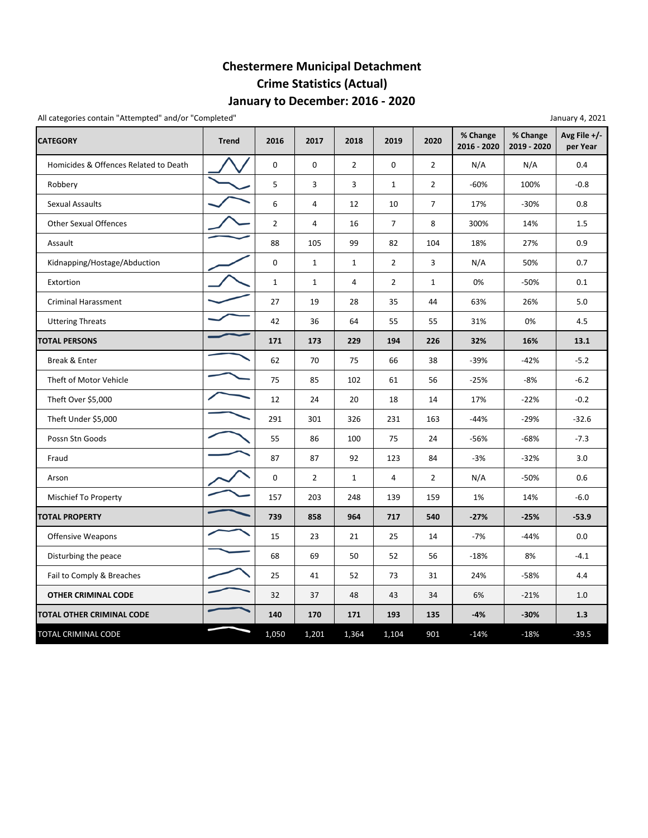## **January to December: 2016 ‐ 2020 Chestermere Municipal Detachment Crime Statistics (Actual)**

All categories contain "Attempted" and/or "Completed" and a state of the state of the state of the state of the state of the state of the state of the state of the state of the state of the state of the state of the state

| <b>CATEGORY</b>                       | <b>Trend</b> | 2016           | 2017           | 2018           | 2019           | 2020           | % Change<br>2016 - 2020 | % Change<br>2019 - 2020 | Avg File +/-<br>per Year |
|---------------------------------------|--------------|----------------|----------------|----------------|----------------|----------------|-------------------------|-------------------------|--------------------------|
| Homicides & Offences Related to Death |              | 0              | $\mathbf 0$    | $\overline{2}$ | 0              | $\overline{2}$ | N/A                     | N/A                     | 0.4                      |
| Robbery                               |              | 5              | 3              | 3              | $\mathbf{1}$   | $\overline{2}$ | $-60%$                  | 100%                    | $-0.8$                   |
| <b>Sexual Assaults</b>                |              | 6              | 4              | 12             | 10             | $\overline{7}$ | 17%                     | $-30%$                  | 0.8                      |
| <b>Other Sexual Offences</b>          |              | $\overline{2}$ | 4              | 16             | $\overline{7}$ | 8              | 300%                    | 14%                     | 1.5                      |
| Assault                               |              | 88             | 105            | 99             | 82             | 104            | 18%                     | 27%                     | 0.9                      |
| Kidnapping/Hostage/Abduction          |              | $\mathbf 0$    | $\mathbf{1}$   | $\mathbf{1}$   | $\overline{2}$ | 3              | N/A                     | 50%                     | 0.7                      |
| Extortion                             |              | $\mathbf{1}$   | $\mathbf{1}$   | $\overline{4}$ | $\overline{2}$ | $\mathbf{1}$   | 0%                      | -50%                    | 0.1                      |
| <b>Criminal Harassment</b>            |              | 27             | 19             | 28             | 35             | 44             | 63%                     | 26%                     | 5.0                      |
| <b>Uttering Threats</b>               |              | 42             | 36             | 64             | 55             | 55             | 31%                     | 0%                      | 4.5                      |
| <b>TOTAL PERSONS</b>                  |              | 171            | 173            | 229            | 194            | 226            | 32%                     | 16%                     | 13.1                     |
| Break & Enter                         |              | 62             | 70             | 75             | 66             | 38             | -39%                    | -42%                    | $-5.2$                   |
| Theft of Motor Vehicle                |              | 75             | 85             | 102            | 61             | 56             | $-25%$                  | -8%                     | $-6.2$                   |
| Theft Over \$5,000                    |              | 12             | 24             | 20             | 18             | 14             | 17%                     | $-22%$                  | $-0.2$                   |
| Theft Under \$5,000                   |              | 291            | 301            | 326            | 231            | 163            | $-44%$                  | $-29%$                  | $-32.6$                  |
| Possn Stn Goods                       |              | 55             | 86             | 100            | 75             | 24             | -56%                    | $-68%$                  | $-7.3$                   |
| Fraud                                 |              | 87             | 87             | 92             | 123            | 84             | $-3%$                   | $-32%$                  | 3.0                      |
| Arson                                 |              | $\mathbf 0$    | $\overline{2}$ | $\mathbf{1}$   | 4              | $\overline{2}$ | N/A                     | $-50%$                  | 0.6                      |
| Mischief To Property                  |              | 157            | 203            | 248            | 139            | 159            | 1%                      | 14%                     | $-6.0$                   |
| <b>TOTAL PROPERTY</b>                 |              | 739            | 858            | 964            | 717            | 540            | $-27%$                  | $-25%$                  | $-53.9$                  |
| Offensive Weapons                     |              | 15             | 23             | 21             | 25             | 14             | $-7%$                   | $-44%$                  | 0.0                      |
| Disturbing the peace                  |              | 68             | 69             | 50             | 52             | 56             | $-18%$                  | 8%                      | $-4.1$                   |
| Fail to Comply & Breaches             |              | 25             | 41             | 52             | 73             | 31             | 24%                     | $-58%$                  | 4.4                      |
| <b>OTHER CRIMINAL CODE</b>            |              | 32             | 37             | 48             | 43             | 34             | 6%                      | $-21%$                  | 1.0                      |
| <b>TOTAL OTHER CRIMINAL CODE</b>      |              | 140            | 170            | 171            | 193            | 135            | $-4%$                   | $-30%$                  | 1.3                      |
| TOTAL CRIMINAL CODE                   |              | 1,050          | 1,201          | 1,364          | 1,104          | 901            | $-14%$                  | $-18%$                  | $-39.5$                  |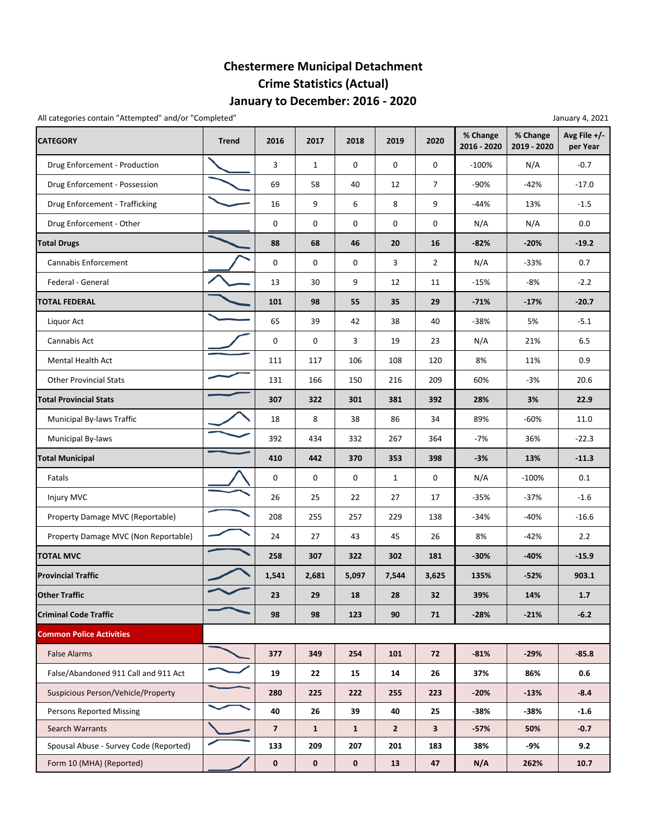## **January to December: 2016 ‐ 2020 Chestermere Municipal Detachment Crime Statistics (Actual)**

All categories contain "Attempted" and/or "Completed" January 4, 2021

| <b>CATEGORY</b>                        | <b>Trend</b> | 2016                | 2017         | 2018         | 2019           | 2020           | % Change<br>2016 - 2020 | % Change<br>2019 - 2020 | Avg File +/-<br>per Year |
|----------------------------------------|--------------|---------------------|--------------|--------------|----------------|----------------|-------------------------|-------------------------|--------------------------|
| Drug Enforcement - Production          |              | 3                   | 1            | 0            | 0              | 0              | $-100%$                 | N/A                     | $-0.7$                   |
| Drug Enforcement - Possession          |              | 69                  | 58           | 40           | 12             | $\overline{7}$ | -90%                    | $-42%$                  | $-17.0$                  |
| Drug Enforcement - Trafficking         |              | 16                  | 9            | 6            | 8              | 9              | $-44%$                  | 13%                     | $-1.5$                   |
| Drug Enforcement - Other               |              | $\mathbf 0$         | $\mathbf 0$  | 0            | 0              | 0              | N/A                     | N/A                     | 0.0                      |
| <b>Total Drugs</b>                     |              | 88                  | 68           | 46           | 20             | 16             | $-82%$                  | $-20%$                  | $-19.2$                  |
| Cannabis Enforcement                   |              | 0                   | 0            | 0            | 3              | $\overline{2}$ | N/A                     | $-33%$                  | 0.7                      |
| Federal - General                      |              | 13                  | 30           | 9            | 12             | 11             | $-15%$                  | -8%                     | $-2.2$                   |
| <b>TOTAL FEDERAL</b>                   |              | 101                 | 98           | 55           | 35             | 29             | $-71%$                  | $-17%$                  | $-20.7$                  |
| Liquor Act                             |              | 65                  | 39           | 42           | 38             | 40             | $-38%$                  | 5%                      | $-5.1$                   |
| Cannabis Act                           |              | 0                   | 0            | 3            | 19             | 23             | N/A                     | 21%                     | 6.5                      |
| Mental Health Act                      |              | 111                 | 117          | 106          | 108            | 120            | 8%                      | 11%                     | 0.9                      |
| <b>Other Provincial Stats</b>          |              | 131                 | 166          | 150          | 216            | 209            | 60%                     | $-3%$                   | 20.6                     |
| <b>Total Provincial Stats</b>          |              | 307                 | 322          | 301          | 381            | 392            | 28%                     | 3%                      | 22.9                     |
| Municipal By-laws Traffic              |              | 18                  | 8            | 38           | 86             | 34             | 89%                     | $-60%$                  | 11.0                     |
| Municipal By-laws                      |              | 392                 | 434          | 332          | 267            | 364            | $-7%$                   | 36%                     | $-22.3$                  |
| <b>Total Municipal</b>                 |              | 410                 | 442          | 370          | 353            | 398            | $-3%$                   | 13%                     | $-11.3$                  |
| Fatals                                 |              | $\mathsf{O}\xspace$ | $\mathbf 0$  | 0            | $\mathbf{1}$   | 0              | N/A                     | $-100%$                 | 0.1                      |
| Injury MVC                             |              | 26                  | 25           | 22           | 27             | 17             | $-35%$                  | $-37%$                  | $-1.6$                   |
| Property Damage MVC (Reportable)       |              | 208                 | 255          | 257          | 229            | 138            | $-34%$                  | $-40%$                  | $-16.6$                  |
| Property Damage MVC (Non Reportable)   |              | 24                  | 27           | 43           | 45             | 26             | 8%                      | $-42%$                  | 2.2                      |
| <b>TOTAL MVC</b>                       |              | 258                 | 307          | 322          | 302            | 181            | $-30%$                  | $-40%$                  | $-15.9$                  |
| <b>Provincial Traffic</b>              |              | 1,541               | 2,681        | 5,097        | 7,544          | 3,625          | 135%                    | $-52%$                  | 903.1                    |
| <b>Other Traffic</b>                   |              | 23                  | 29           | 18           | 28             | 32             | 39%                     | 14%                     | 1.7                      |
| <b>Criminal Code Traffic</b>           |              | 98                  | 98           | 123          | 90             | 71             | $-28%$                  | $-21%$                  | $-6.2$                   |
| <b>Common Police Activities</b>        |              |                     |              |              |                |                |                         |                         |                          |
| <b>False Alarms</b>                    |              | 377                 | 349          | 254          | 101            | 72             | $-81%$                  | $-29%$                  | $-85.8$                  |
| False/Abandoned 911 Call and 911 Act   |              | 19                  | 22           | 15           | 14             | 26             | 37%                     | 86%                     | 0.6                      |
| Suspicious Person/Vehicle/Property     |              | 280                 | 225          | 222          | 255            | 223            | $-20%$                  | $-13%$                  | $-8.4$                   |
| <b>Persons Reported Missing</b>        |              | 40                  | 26           | 39           | 40             | 25             | -38%                    | -38%                    | $-1.6$                   |
| <b>Search Warrants</b>                 |              | $\overline{7}$      | $\mathbf{1}$ | $\mathbf{1}$ | $\overline{2}$ | $\mathbf{3}$   | $-57%$                  | 50%                     | $-0.7$                   |
| Spousal Abuse - Survey Code (Reported) |              | 133                 | 209          | 207          | 201            | 183            | 38%                     | -9%                     | 9.2                      |
| Form 10 (MHA) (Reported)               |              | $\mathbf 0$         | $\mathbf 0$  | $\mathbf 0$  | 13             | 47             | N/A                     | 262%                    | 10.7                     |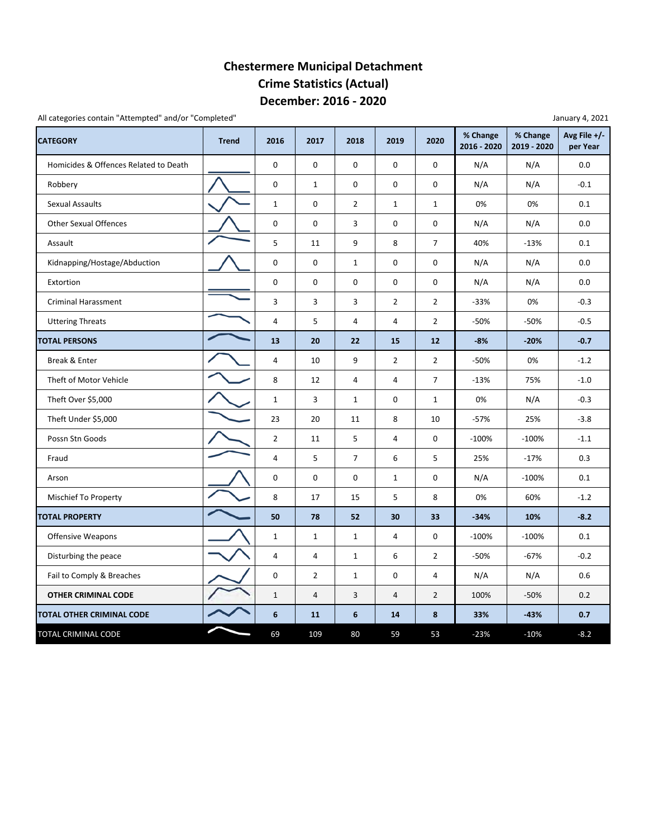### **December: 2016 ‐ 2020 Chestermere Municipal Detachment Crime Statistics (Actual)**

All categories contain "Attempted" and/or "Completed"

| <b>CATEGORY</b>                       | <b>Trend</b> | 2016                    | 2017                    | 2018           | 2019           | 2020           | % Change<br>2016 - 2020 | % Change<br>2019 - 2020 | Avg File +/-<br>per Year |
|---------------------------------------|--------------|-------------------------|-------------------------|----------------|----------------|----------------|-------------------------|-------------------------|--------------------------|
| Homicides & Offences Related to Death |              | 0                       | $\mathbf 0$             | 0              | $\mathbf 0$    | 0              | N/A                     | N/A                     | 0.0                      |
| Robbery                               |              | $\mathsf 0$             | $\mathbf{1}$            | 0              | $\mathbf 0$    | 0              | N/A                     | N/A                     | $-0.1$                   |
| <b>Sexual Assaults</b>                |              | $\mathbf{1}$            | 0                       | $\overline{2}$ | $\mathbf{1}$   | $\mathbf{1}$   | 0%                      | 0%                      | 0.1                      |
| <b>Other Sexual Offences</b>          |              | 0                       | $\pmb{0}$               | 3              | $\mathbf 0$    | 0              | N/A                     | N/A                     | 0.0                      |
| Assault                               |              | 5                       | 11                      | 9              | 8              | $\overline{7}$ | 40%                     | $-13%$                  | 0.1                      |
| Kidnapping/Hostage/Abduction          |              | 0                       | 0                       | $\mathbf{1}$   | $\mathbf 0$    | $\mathbf 0$    | N/A                     | N/A                     | 0.0                      |
| Extortion                             |              | $\mathsf 0$             | 0                       | 0              | $\mathbf 0$    | $\mathbf 0$    | N/A                     | N/A                     | 0.0                      |
| <b>Criminal Harassment</b>            |              | 3                       | 3                       | 3              | $\overline{2}$ | $\overline{2}$ | $-33%$                  | 0%                      | $-0.3$                   |
| <b>Uttering Threats</b>               |              | $\sqrt{4}$              | 5                       | 4              | $\overline{4}$ | $\overline{2}$ | $-50%$                  | $-50%$                  | $-0.5$                   |
| <b>TOTAL PERSONS</b>                  |              | 13                      | 20                      | 22             | 15             | 12             | $-8%$                   | $-20%$                  | $-0.7$                   |
| Break & Enter                         |              | $\overline{4}$          | 10                      | 9              | $\overline{2}$ | $\overline{2}$ | $-50%$                  | 0%                      | $-1.2$                   |
| Theft of Motor Vehicle                |              | 8                       | 12                      | 4              | $\overline{4}$ | $\overline{7}$ | $-13%$                  | 75%                     | $-1.0$                   |
| Theft Over \$5,000                    |              | $\mathbf{1}$            | 3                       | $\mathbf{1}$   | $\mathbf 0$    | $\mathbf{1}$   | 0%                      | N/A                     | $-0.3$                   |
| Theft Under \$5,000                   |              | 23                      | 20                      | 11             | 8              | 10             | $-57%$                  | 25%                     | $-3.8$                   |
| Possn Stn Goods                       |              | $\overline{2}$          | 11                      | 5              | $\overline{4}$ | $\mathbf 0$    | $-100%$                 | $-100%$                 | $-1.1$                   |
| Fraud                                 |              | $\overline{\mathbf{4}}$ | 5                       | $\overline{7}$ | 6              | 5              | 25%                     | $-17%$                  | 0.3                      |
| Arson                                 |              | 0                       | 0                       | 0              | $\mathbf{1}$   | 0              | N/A                     | $-100%$                 | 0.1                      |
| Mischief To Property                  |              | 8                       | 17                      | 15             | 5              | 8              | 0%                      | 60%                     | $-1.2$                   |
| <b>TOTAL PROPERTY</b>                 |              | 50                      | 78                      | 52             | 30             | 33             | $-34%$                  | 10%                     | $-8.2$                   |
| <b>Offensive Weapons</b>              |              | $\mathbf{1}$            | $\mathbf{1}$            | $\mathbf{1}$   | $\overline{4}$ | 0              | $-100%$                 | $-100%$                 | 0.1                      |
| Disturbing the peace                  |              | $\overline{4}$          | 4                       | $1\,$          | 6              | $\overline{2}$ | -50%                    | $-67%$                  | $-0.2$                   |
| Fail to Comply & Breaches             |              | 0                       | $\overline{2}$          | $\mathbf{1}$   | 0              | 4              | N/A                     | N/A                     | 0.6                      |
| <b>OTHER CRIMINAL CODE</b>            |              | $\mathbf{1}$            | $\overline{\mathbf{4}}$ | 3              | $\overline{4}$ | $\overline{2}$ | 100%                    | $-50%$                  | 0.2                      |
| TOTAL OTHER CRIMINAL CODE             |              | $6\phantom{1}6$         | 11                      | 6              | 14             | 8              | 33%                     | $-43%$                  | 0.7                      |
| TOTAL CRIMINAL CODE                   |              | 69                      | 109                     | 80             | 59             | 53             | $-23%$                  | $-10%$                  | $-8.2$                   |

January 4, 2021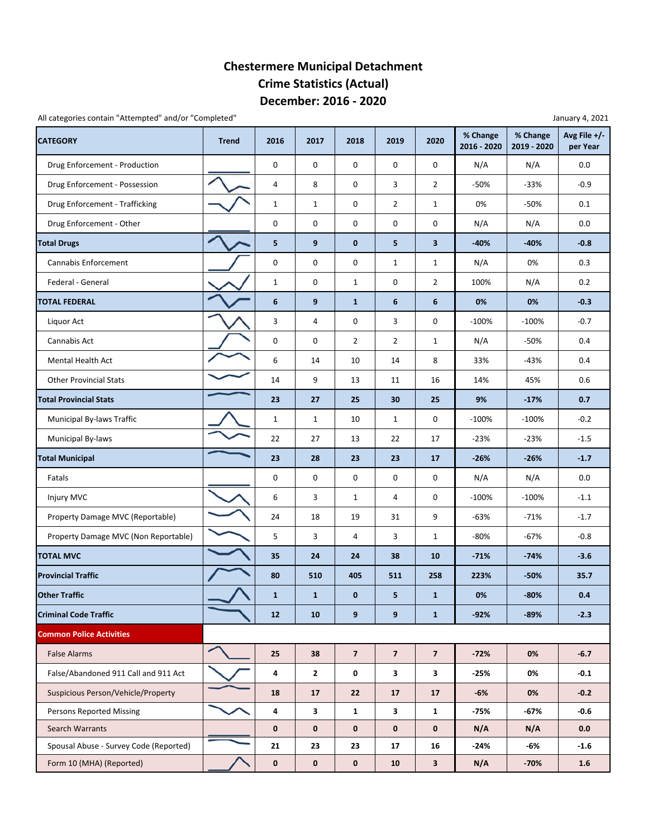### **December: 2016 ‐ 2020 Chestermere Municipal Detachment Crime Statistics (Actual)**

All categories contain "Attempted" and/or "Completed" and a state of the state of the state of the state of the state of the state of the state of the state of the state of the state of the state of the state of the state

| <b>CATEGORY</b>                        | <b>Trend</b> | 2016         | 2017         | 2018                    | 2019           | 2020                    | % Change<br>2016 - 2020 | % Change<br>2019 - 2020 | Avg File +/-<br>per Year |
|----------------------------------------|--------------|--------------|--------------|-------------------------|----------------|-------------------------|-------------------------|-------------------------|--------------------------|
| Drug Enforcement - Production          |              | 0            | $\mathbf 0$  | 0                       | 0              | 0                       | N/A                     | N/A                     | 0.0                      |
| Drug Enforcement - Possession          |              | 4            | 8            | 0                       | 3              | 2                       | $-50%$                  | $-33%$                  | $-0.9$                   |
| Drug Enforcement - Trafficking         |              | $\mathbf{1}$ | 1            | 0                       | $\overline{2}$ | $\mathbf{1}$            | 0%                      | $-50%$                  | 0.1                      |
| Drug Enforcement - Other               |              | 0            | 0            | 0                       | 0              | 0                       | N/A                     | N/A                     | 0.0                      |
| <b>Total Drugs</b>                     |              | 5            | 9            | $\bf{0}$                | 5              | 3                       | $-40%$                  | $-40%$                  | $-0.8$                   |
| Cannabis Enforcement                   |              | $\mathbf 0$  | 0            | $\pmb{0}$               | $\mathbf{1}$   | $\mathbf{1}$            | N/A                     | 0%                      | 0.3                      |
| Federal - General                      |              | $\mathbf{1}$ | 0            | $\mathbf{1}$            | 0              | $\overline{2}$          | 100%                    | N/A                     | 0.2                      |
| <b>TOTAL FEDERAL</b>                   |              | 6            | 9            | $\mathbf{1}$            | 6              | 6                       | 0%                      | 0%                      | $-0.3$                   |
| Liquor Act                             |              | 3            | 4            | 0                       | 3              | 0                       | $-100%$                 | $-100%$                 | $-0.7$                   |
| Cannabis Act                           |              | 0            | 0            | $\overline{2}$          | $\overline{2}$ | $\mathbf{1}$            | N/A                     | -50%                    | 0.4                      |
| <b>Mental Health Act</b>               |              | 6            | 14           | 10                      | 14             | 8                       | 33%                     | -43%                    | 0.4                      |
| <b>Other Provincial Stats</b>          |              | 14           | 9            | 13                      | 11             | 16                      | 14%                     | 45%                     | 0.6                      |
| <b>Total Provincial Stats</b>          |              | 23           | 27           | 25                      | 30             | 25                      | 9%                      | $-17%$                  | 0.7                      |
| Municipal By-laws Traffic              |              | $\mathbf{1}$ | 1            | 10                      | $\mathbf{1}$   | 0                       | $-100%$                 | $-100%$                 | $-0.2$                   |
| Municipal By-laws                      |              | 22           | 27           | 13                      | 22             | 17                      | $-23%$                  | $-23%$                  | $-1.5$                   |
| <b>Total Municipal</b>                 |              | 23           | 28           | 23                      | 23             | 17                      | $-26%$                  | $-26%$                  | $-1.7$                   |
| Fatals                                 |              | 0            | 0            | 0                       | 0              | 0                       | N/A                     | N/A                     | 0.0                      |
| Injury MVC                             |              | 6            | 3            | $\mathbf{1}$            | 4              | 0                       | $-100%$                 | $-100%$                 | $-1.1$                   |
| Property Damage MVC (Reportable)       |              | 24           | 18           | 19                      | 31             | 9                       | $-63%$                  | $-71%$                  | $-1.7$                   |
| Property Damage MVC (Non Reportable)   |              | 5            | 3            | $\overline{4}$          | 3              | $\mathbf{1}$            | $-80%$                  | $-67%$                  | $-0.8$                   |
| <b>TOTAL MVC</b>                       |              | 35           | 24           | 24                      | 38             | 10                      | $-71%$                  | $-74%$                  | $-3.6$                   |
| <b>Provincial Traffic</b>              |              | 80           | 510          | 405                     | 511            | 258                     | 223%                    | $-50%$                  | 35.7                     |
| <b>Other Traffic</b>                   |              | $\mathbf{1}$ | $\mathbf{1}$ | $\mathbf{0}$            | 5              | $\mathbf{1}$            | 0%                      | $-80%$                  | 0.4                      |
| <b>Criminal Code Traffic</b>           |              | 12           | 10           | 9                       | 9              | $\mathbf{1}$            | $-92%$                  | $-89%$                  | $-2.3$                   |
| <b>Common Police Activities</b>        |              |              |              |                         |                |                         |                         |                         |                          |
| <b>False Alarms</b>                    |              | 25           | 38           | $\overline{\mathbf{z}}$ | $\overline{7}$ | $\overline{\mathbf{z}}$ | $-72%$                  | 0%                      | $-6.7$                   |
| False/Abandoned 911 Call and 911 Act   |              | 4            | $\mathbf{2}$ | 0                       | 3              | 3                       | $-25%$                  | 0%                      | $-0.1$                   |
| Suspicious Person/Vehicle/Property     |              | 18           | 17           | 22                      | 17             | 17                      | -6%                     | 0%                      | $-0.2$                   |
| <b>Persons Reported Missing</b>        |              | 4            | 3            | $\mathbf{1}$            | 3              | 1                       | $-75%$                  | $-67%$                  | $-0.6$                   |
| Search Warrants                        |              | $\mathbf 0$  | $\mathbf 0$  | $\bf{0}$                | $\mathbf 0$    | 0                       | N/A                     | N/A                     | 0.0                      |
| Spousal Abuse - Survey Code (Reported) |              | 21           | 23           | 23                      | 17             | 16                      | $-24%$                  | -6%                     | $-1.6$                   |
| Form 10 (MHA) (Reported)               |              | $\pmb{0}$    | $\pmb{0}$    | $\pmb{0}$               | ${\bf 10}$     | 3                       | N/A                     | $-70%$                  | 1.6                      |